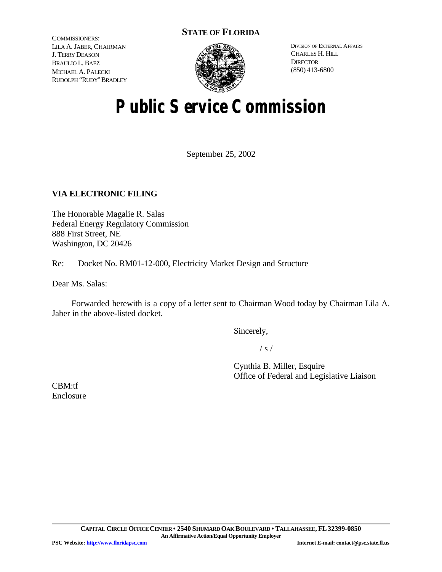### **STATE OF FLORIDA**

COMMISSIONERS: LILA A. JABER, CHAIRMAN J. TERRY DEASON BRAULIO L. BAEZ MICHAEL A. PALECKI RUDOLPH "RUDY"BRADLEY



DIVISION OF EXTERNAL AFFAIRS CHARLES H. HILL **DIRECTOR** (850) 413-6800

# **Public Service Commission**

September 25, 2002

### **VIA ELECTRONIC FILING**

The Honorable Magalie R. Salas Federal Energy Regulatory Commission 888 First Street, NE Washington, DC 20426

Re: Docket No. RM01-12-000, Electricity Market Design and Structure

Dear Ms. Salas:

Forwarded herewith is a copy of a letter sent to Chairman Wood today by Chairman Lila A. Jaber in the above-listed docket.

Sincerely,

 $/ s /$ 

Cynthia B. Miller, Esquire Office of Federal and Legislative Liaison

CBM:tf Enclosure